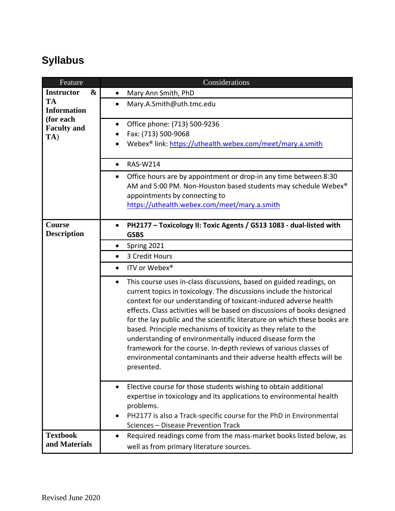## **Syllabus**

| Feature                                                                   | Considerations                                                                                                                                                                                                                                                                                                                                                                                                                                                                                                                                                                                                                                                               |
|---------------------------------------------------------------------------|------------------------------------------------------------------------------------------------------------------------------------------------------------------------------------------------------------------------------------------------------------------------------------------------------------------------------------------------------------------------------------------------------------------------------------------------------------------------------------------------------------------------------------------------------------------------------------------------------------------------------------------------------------------------------|
| $\boldsymbol{\&}$<br><b>Instructor</b>                                    | Mary Ann Smith, PhD<br>$\bullet$                                                                                                                                                                                                                                                                                                                                                                                                                                                                                                                                                                                                                                             |
| <b>TA</b><br><b>Information</b><br>(for each<br><b>Faculty and</b><br>TA) | Mary.A.Smith@uth.tmc.edu<br>$\bullet$                                                                                                                                                                                                                                                                                                                                                                                                                                                                                                                                                                                                                                        |
|                                                                           | Office phone: (713) 500-9236<br>٠<br>Fax: (713) 500-9068<br>Webex® link: https://uthealth.webex.com/meet/mary.a.smith                                                                                                                                                                                                                                                                                                                                                                                                                                                                                                                                                        |
|                                                                           | <b>RAS-W214</b><br>$\bullet$                                                                                                                                                                                                                                                                                                                                                                                                                                                                                                                                                                                                                                                 |
|                                                                           | Office hours are by appointment or drop-in any time between 8:30<br>$\bullet$<br>AM and 5:00 PM. Non-Houston based students may schedule Webex®<br>appointments by connecting to<br>https://uthealth.webex.com/meet/mary.a.smith                                                                                                                                                                                                                                                                                                                                                                                                                                             |
| Course<br><b>Description</b>                                              | PH2177 - Toxicology II: Toxic Agents / GS13 1083 - dual-listed with<br><b>GSBS</b>                                                                                                                                                                                                                                                                                                                                                                                                                                                                                                                                                                                           |
|                                                                           | Spring 2021<br>٠                                                                                                                                                                                                                                                                                                                                                                                                                                                                                                                                                                                                                                                             |
|                                                                           | 3 Credit Hours<br>$\bullet$                                                                                                                                                                                                                                                                                                                                                                                                                                                                                                                                                                                                                                                  |
|                                                                           | ITV or Webex®<br>$\bullet$                                                                                                                                                                                                                                                                                                                                                                                                                                                                                                                                                                                                                                                   |
|                                                                           | This course uses in-class discussions, based on guided readings, on<br>$\bullet$<br>current topics in toxicology. The discussions include the historical<br>context for our understanding of toxicant-induced adverse health<br>effects. Class activities will be based on discussions of books designed<br>for the lay public and the scientific literature on which these books are<br>based. Principle mechanisms of toxicity as they relate to the<br>understanding of environmentally induced disease form the<br>framework for the course. In-depth reviews of various classes of<br>environmental contaminants and their adverse health effects will be<br>presented. |
|                                                                           | Elective course for those students wishing to obtain additional<br>$\bullet$<br>expertise in toxicology and its applications to environmental health<br>problems.<br>PH2177 is also a Track-specific course for the PhD in Environmental<br>Sciences - Disease Prevention Track                                                                                                                                                                                                                                                                                                                                                                                              |
| <b>Textbook</b><br>and Materials                                          | Required readings come from the mass-market books listed below, as<br>well as from primary literature sources.                                                                                                                                                                                                                                                                                                                                                                                                                                                                                                                                                               |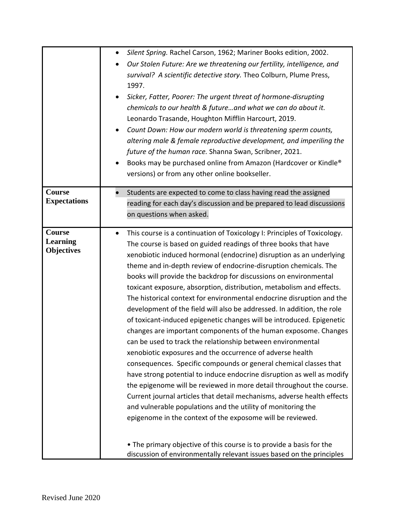|                               | Silent Spring. Rachel Carson, 1962; Mariner Books edition, 2002.<br>$\bullet$         |
|-------------------------------|---------------------------------------------------------------------------------------|
|                               | Our Stolen Future: Are we threatening our fertility, intelligence, and<br>$\bullet$   |
|                               | survival? A scientific detective story. Theo Colburn, Plume Press,                    |
|                               | 1997.                                                                                 |
|                               | Sicker, Fatter, Poorer: The urgent threat of hormone-disrupting                       |
|                               |                                                                                       |
|                               | chemicals to our health & futureand what we can do about it.                          |
|                               | Leonardo Trasande, Houghton Mifflin Harcourt, 2019.                                   |
|                               | Count Down: How our modern world is threatening sperm counts,                         |
|                               | altering male & female reproductive development, and imperiling the                   |
|                               | future of the human race. Shanna Swan, Scribner, 2021.                                |
|                               | Books may be purchased online from Amazon (Hardcover or Kindle®                       |
|                               | versions) or from any other online bookseller.                                        |
|                               |                                                                                       |
| Course<br><b>Expectations</b> | Students are expected to come to class having read the assigned                       |
|                               | reading for each day's discussion and be prepared to lead discussions                 |
|                               | on questions when asked.                                                              |
| Course                        | This course is a continuation of Toxicology I: Principles of Toxicology.<br>$\bullet$ |
| <b>Learning</b>               | The course is based on guided readings of three books that have                       |
| <b>Objectives</b>             | xenobiotic induced hormonal (endocrine) disruption as an underlying                   |
|                               | theme and in-depth review of endocrine-disruption chemicals. The                      |
|                               | books will provide the backdrop for discussions on environmental                      |
|                               | toxicant exposure, absorption, distribution, metabolism and effects.                  |
|                               |                                                                                       |
|                               | The historical context for environmental endocrine disruption and the                 |
|                               | development of the field will also be addressed. In addition, the role                |
|                               | of toxicant-induced epigenetic changes will be introduced. Epigenetic                 |
|                               | changes are important components of the human exposome. Changes                       |
|                               | can be used to track the relationship between environmental                           |
|                               | xenobiotic exposures and the occurrence of adverse health                             |
|                               | consequences. Specific compounds or general chemical classes that                     |
|                               | have strong potential to induce endocrine disruption as well as modify                |
|                               | the epigenome will be reviewed in more detail throughout the course.                  |
|                               | Current journal articles that detail mechanisms, adverse health effects               |
|                               | and vulnerable populations and the utility of monitoring the                          |
|                               | epigenome in the context of the exposome will be reviewed.                            |
|                               |                                                                                       |
|                               | • The primary objective of this course is to provide a basis for the                  |
|                               | discussion of environmentally relevant issues based on the principles                 |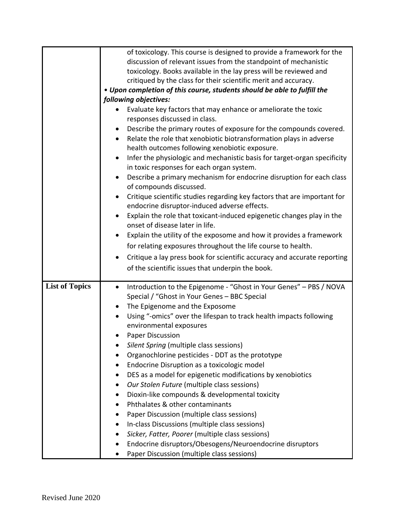| of toxicology. This course is designed to provide a framework for the<br>discussion of relevant issues from the standpoint of mechanistic<br>toxicology. Books available in the lay press will be reviewed and<br>critiqued by the class for their scientific merit and accuracy.<br>• Upon completion of this course, students should be able to fulfill the<br>following objectives:<br>Evaluate key factors that may enhance or ameliorate the toxic<br>responses discussed in class.<br>Describe the primary routes of exposure for the compounds covered.<br>Relate the role that xenobiotic biotransformation plays in adverse<br>$\bullet$<br>health outcomes following xenobiotic exposure.<br>Infer the physiologic and mechanistic basis for target-organ specificity<br>$\bullet$<br>in toxic responses for each organ system.<br>Describe a primary mechanism for endocrine disruption for each class<br>٠<br>of compounds discussed.<br>Critique scientific studies regarding key factors that are important for<br>endocrine disruptor-induced adverse effects.<br>Explain the role that toxicant-induced epigenetic changes play in the<br>onset of disease later in life.<br>Explain the utility of the exposome and how it provides a framework<br>for relating exposures throughout the life course to health.<br>Critique a lay press book for scientific accuracy and accurate reporting<br>of the scientific issues that underpin the book.<br><b>List of Topics</b><br>Introduction to the Epigenome - "Ghost in Your Genes" - PBS / NOVA<br>$\bullet$<br>Special / "Ghost in Your Genes - BBC Special<br>The Epigenome and the Exposome<br>٠<br>Using "-omics" over the lifespan to track health impacts following<br>$\bullet$<br>environmental exposures<br><b>Paper Discussion</b> |
|--------------------------------------------------------------------------------------------------------------------------------------------------------------------------------------------------------------------------------------------------------------------------------------------------------------------------------------------------------------------------------------------------------------------------------------------------------------------------------------------------------------------------------------------------------------------------------------------------------------------------------------------------------------------------------------------------------------------------------------------------------------------------------------------------------------------------------------------------------------------------------------------------------------------------------------------------------------------------------------------------------------------------------------------------------------------------------------------------------------------------------------------------------------------------------------------------------------------------------------------------------------------------------------------------------------------------------------------------------------------------------------------------------------------------------------------------------------------------------------------------------------------------------------------------------------------------------------------------------------------------------------------------------------------------------------------------------------------------------------------------------------------------------------------------------------|
|                                                                                                                                                                                                                                                                                                                                                                                                                                                                                                                                                                                                                                                                                                                                                                                                                                                                                                                                                                                                                                                                                                                                                                                                                                                                                                                                                                                                                                                                                                                                                                                                                                                                                                                                                                                                              |
|                                                                                                                                                                                                                                                                                                                                                                                                                                                                                                                                                                                                                                                                                                                                                                                                                                                                                                                                                                                                                                                                                                                                                                                                                                                                                                                                                                                                                                                                                                                                                                                                                                                                                                                                                                                                              |
|                                                                                                                                                                                                                                                                                                                                                                                                                                                                                                                                                                                                                                                                                                                                                                                                                                                                                                                                                                                                                                                                                                                                                                                                                                                                                                                                                                                                                                                                                                                                                                                                                                                                                                                                                                                                              |
|                                                                                                                                                                                                                                                                                                                                                                                                                                                                                                                                                                                                                                                                                                                                                                                                                                                                                                                                                                                                                                                                                                                                                                                                                                                                                                                                                                                                                                                                                                                                                                                                                                                                                                                                                                                                              |
|                                                                                                                                                                                                                                                                                                                                                                                                                                                                                                                                                                                                                                                                                                                                                                                                                                                                                                                                                                                                                                                                                                                                                                                                                                                                                                                                                                                                                                                                                                                                                                                                                                                                                                                                                                                                              |
|                                                                                                                                                                                                                                                                                                                                                                                                                                                                                                                                                                                                                                                                                                                                                                                                                                                                                                                                                                                                                                                                                                                                                                                                                                                                                                                                                                                                                                                                                                                                                                                                                                                                                                                                                                                                              |
|                                                                                                                                                                                                                                                                                                                                                                                                                                                                                                                                                                                                                                                                                                                                                                                                                                                                                                                                                                                                                                                                                                                                                                                                                                                                                                                                                                                                                                                                                                                                                                                                                                                                                                                                                                                                              |
|                                                                                                                                                                                                                                                                                                                                                                                                                                                                                                                                                                                                                                                                                                                                                                                                                                                                                                                                                                                                                                                                                                                                                                                                                                                                                                                                                                                                                                                                                                                                                                                                                                                                                                                                                                                                              |
|                                                                                                                                                                                                                                                                                                                                                                                                                                                                                                                                                                                                                                                                                                                                                                                                                                                                                                                                                                                                                                                                                                                                                                                                                                                                                                                                                                                                                                                                                                                                                                                                                                                                                                                                                                                                              |
|                                                                                                                                                                                                                                                                                                                                                                                                                                                                                                                                                                                                                                                                                                                                                                                                                                                                                                                                                                                                                                                                                                                                                                                                                                                                                                                                                                                                                                                                                                                                                                                                                                                                                                                                                                                                              |
|                                                                                                                                                                                                                                                                                                                                                                                                                                                                                                                                                                                                                                                                                                                                                                                                                                                                                                                                                                                                                                                                                                                                                                                                                                                                                                                                                                                                                                                                                                                                                                                                                                                                                                                                                                                                              |
|                                                                                                                                                                                                                                                                                                                                                                                                                                                                                                                                                                                                                                                                                                                                                                                                                                                                                                                                                                                                                                                                                                                                                                                                                                                                                                                                                                                                                                                                                                                                                                                                                                                                                                                                                                                                              |
|                                                                                                                                                                                                                                                                                                                                                                                                                                                                                                                                                                                                                                                                                                                                                                                                                                                                                                                                                                                                                                                                                                                                                                                                                                                                                                                                                                                                                                                                                                                                                                                                                                                                                                                                                                                                              |
|                                                                                                                                                                                                                                                                                                                                                                                                                                                                                                                                                                                                                                                                                                                                                                                                                                                                                                                                                                                                                                                                                                                                                                                                                                                                                                                                                                                                                                                                                                                                                                                                                                                                                                                                                                                                              |
|                                                                                                                                                                                                                                                                                                                                                                                                                                                                                                                                                                                                                                                                                                                                                                                                                                                                                                                                                                                                                                                                                                                                                                                                                                                                                                                                                                                                                                                                                                                                                                                                                                                                                                                                                                                                              |
|                                                                                                                                                                                                                                                                                                                                                                                                                                                                                                                                                                                                                                                                                                                                                                                                                                                                                                                                                                                                                                                                                                                                                                                                                                                                                                                                                                                                                                                                                                                                                                                                                                                                                                                                                                                                              |
|                                                                                                                                                                                                                                                                                                                                                                                                                                                                                                                                                                                                                                                                                                                                                                                                                                                                                                                                                                                                                                                                                                                                                                                                                                                                                                                                                                                                                                                                                                                                                                                                                                                                                                                                                                                                              |
|                                                                                                                                                                                                                                                                                                                                                                                                                                                                                                                                                                                                                                                                                                                                                                                                                                                                                                                                                                                                                                                                                                                                                                                                                                                                                                                                                                                                                                                                                                                                                                                                                                                                                                                                                                                                              |
|                                                                                                                                                                                                                                                                                                                                                                                                                                                                                                                                                                                                                                                                                                                                                                                                                                                                                                                                                                                                                                                                                                                                                                                                                                                                                                                                                                                                                                                                                                                                                                                                                                                                                                                                                                                                              |
|                                                                                                                                                                                                                                                                                                                                                                                                                                                                                                                                                                                                                                                                                                                                                                                                                                                                                                                                                                                                                                                                                                                                                                                                                                                                                                                                                                                                                                                                                                                                                                                                                                                                                                                                                                                                              |
|                                                                                                                                                                                                                                                                                                                                                                                                                                                                                                                                                                                                                                                                                                                                                                                                                                                                                                                                                                                                                                                                                                                                                                                                                                                                                                                                                                                                                                                                                                                                                                                                                                                                                                                                                                                                              |
|                                                                                                                                                                                                                                                                                                                                                                                                                                                                                                                                                                                                                                                                                                                                                                                                                                                                                                                                                                                                                                                                                                                                                                                                                                                                                                                                                                                                                                                                                                                                                                                                                                                                                                                                                                                                              |
|                                                                                                                                                                                                                                                                                                                                                                                                                                                                                                                                                                                                                                                                                                                                                                                                                                                                                                                                                                                                                                                                                                                                                                                                                                                                                                                                                                                                                                                                                                                                                                                                                                                                                                                                                                                                              |
|                                                                                                                                                                                                                                                                                                                                                                                                                                                                                                                                                                                                                                                                                                                                                                                                                                                                                                                                                                                                                                                                                                                                                                                                                                                                                                                                                                                                                                                                                                                                                                                                                                                                                                                                                                                                              |
|                                                                                                                                                                                                                                                                                                                                                                                                                                                                                                                                                                                                                                                                                                                                                                                                                                                                                                                                                                                                                                                                                                                                                                                                                                                                                                                                                                                                                                                                                                                                                                                                                                                                                                                                                                                                              |
|                                                                                                                                                                                                                                                                                                                                                                                                                                                                                                                                                                                                                                                                                                                                                                                                                                                                                                                                                                                                                                                                                                                                                                                                                                                                                                                                                                                                                                                                                                                                                                                                                                                                                                                                                                                                              |
|                                                                                                                                                                                                                                                                                                                                                                                                                                                                                                                                                                                                                                                                                                                                                                                                                                                                                                                                                                                                                                                                                                                                                                                                                                                                                                                                                                                                                                                                                                                                                                                                                                                                                                                                                                                                              |
|                                                                                                                                                                                                                                                                                                                                                                                                                                                                                                                                                                                                                                                                                                                                                                                                                                                                                                                                                                                                                                                                                                                                                                                                                                                                                                                                                                                                                                                                                                                                                                                                                                                                                                                                                                                                              |
|                                                                                                                                                                                                                                                                                                                                                                                                                                                                                                                                                                                                                                                                                                                                                                                                                                                                                                                                                                                                                                                                                                                                                                                                                                                                                                                                                                                                                                                                                                                                                                                                                                                                                                                                                                                                              |
|                                                                                                                                                                                                                                                                                                                                                                                                                                                                                                                                                                                                                                                                                                                                                                                                                                                                                                                                                                                                                                                                                                                                                                                                                                                                                                                                                                                                                                                                                                                                                                                                                                                                                                                                                                                                              |
|                                                                                                                                                                                                                                                                                                                                                                                                                                                                                                                                                                                                                                                                                                                                                                                                                                                                                                                                                                                                                                                                                                                                                                                                                                                                                                                                                                                                                                                                                                                                                                                                                                                                                                                                                                                                              |
| Silent Spring (multiple class sessions)                                                                                                                                                                                                                                                                                                                                                                                                                                                                                                                                                                                                                                                                                                                                                                                                                                                                                                                                                                                                                                                                                                                                                                                                                                                                                                                                                                                                                                                                                                                                                                                                                                                                                                                                                                      |
| Organochlorine pesticides - DDT as the prototype                                                                                                                                                                                                                                                                                                                                                                                                                                                                                                                                                                                                                                                                                                                                                                                                                                                                                                                                                                                                                                                                                                                                                                                                                                                                                                                                                                                                                                                                                                                                                                                                                                                                                                                                                             |
| Endocrine Disruption as a toxicologic model<br>$\bullet$                                                                                                                                                                                                                                                                                                                                                                                                                                                                                                                                                                                                                                                                                                                                                                                                                                                                                                                                                                                                                                                                                                                                                                                                                                                                                                                                                                                                                                                                                                                                                                                                                                                                                                                                                     |
| DES as a model for epigenetic modifications by xenobiotics<br>٠                                                                                                                                                                                                                                                                                                                                                                                                                                                                                                                                                                                                                                                                                                                                                                                                                                                                                                                                                                                                                                                                                                                                                                                                                                                                                                                                                                                                                                                                                                                                                                                                                                                                                                                                              |
| Our Stolen Future (multiple class sessions)<br>٠                                                                                                                                                                                                                                                                                                                                                                                                                                                                                                                                                                                                                                                                                                                                                                                                                                                                                                                                                                                                                                                                                                                                                                                                                                                                                                                                                                                                                                                                                                                                                                                                                                                                                                                                                             |
| Dioxin-like compounds & developmental toxicity<br>$\bullet$                                                                                                                                                                                                                                                                                                                                                                                                                                                                                                                                                                                                                                                                                                                                                                                                                                                                                                                                                                                                                                                                                                                                                                                                                                                                                                                                                                                                                                                                                                                                                                                                                                                                                                                                                  |
| Phthalates & other contaminants                                                                                                                                                                                                                                                                                                                                                                                                                                                                                                                                                                                                                                                                                                                                                                                                                                                                                                                                                                                                                                                                                                                                                                                                                                                                                                                                                                                                                                                                                                                                                                                                                                                                                                                                                                              |
| Paper Discussion (multiple class sessions)                                                                                                                                                                                                                                                                                                                                                                                                                                                                                                                                                                                                                                                                                                                                                                                                                                                                                                                                                                                                                                                                                                                                                                                                                                                                                                                                                                                                                                                                                                                                                                                                                                                                                                                                                                   |
| In-class Discussions (multiple class sessions)<br>٠                                                                                                                                                                                                                                                                                                                                                                                                                                                                                                                                                                                                                                                                                                                                                                                                                                                                                                                                                                                                                                                                                                                                                                                                                                                                                                                                                                                                                                                                                                                                                                                                                                                                                                                                                          |
| Sicker, Fatter, Poorer (multiple class sessions)                                                                                                                                                                                                                                                                                                                                                                                                                                                                                                                                                                                                                                                                                                                                                                                                                                                                                                                                                                                                                                                                                                                                                                                                                                                                                                                                                                                                                                                                                                                                                                                                                                                                                                                                                             |
| Endocrine disruptors/Obesogens/Neuroendocrine disruptors                                                                                                                                                                                                                                                                                                                                                                                                                                                                                                                                                                                                                                                                                                                                                                                                                                                                                                                                                                                                                                                                                                                                                                                                                                                                                                                                                                                                                                                                                                                                                                                                                                                                                                                                                     |
| Paper Discussion (multiple class sessions)                                                                                                                                                                                                                                                                                                                                                                                                                                                                                                                                                                                                                                                                                                                                                                                                                                                                                                                                                                                                                                                                                                                                                                                                                                                                                                                                                                                                                                                                                                                                                                                                                                                                                                                                                                   |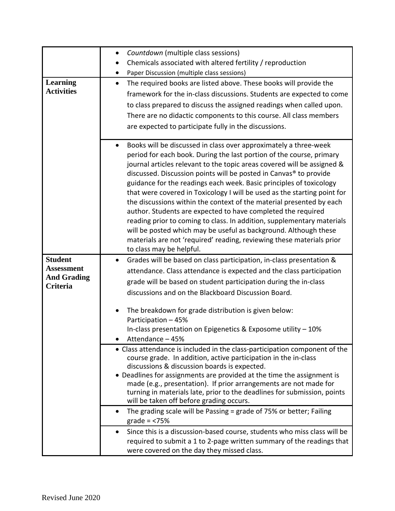|                                | Countdown (multiple class sessions)<br>$\bullet$                                                                                                |
|--------------------------------|-------------------------------------------------------------------------------------------------------------------------------------------------|
|                                | Chemicals associated with altered fertility / reproduction                                                                                      |
|                                | Paper Discussion (multiple class sessions)                                                                                                      |
| <b>Learning</b>                | The required books are listed above. These books will provide the<br>$\bullet$                                                                  |
| <b>Activities</b>              | framework for the in-class discussions. Students are expected to come                                                                           |
|                                | to class prepared to discuss the assigned readings when called upon.                                                                            |
|                                | There are no didactic components to this course. All class members                                                                              |
|                                | are expected to participate fully in the discussions.                                                                                           |
|                                |                                                                                                                                                 |
|                                | Books will be discussed in class over approximately a three-week<br>$\bullet$                                                                   |
|                                | period for each book. During the last portion of the course, primary                                                                            |
|                                | journal articles relevant to the topic areas covered will be assigned &                                                                         |
|                                | discussed. Discussion points will be posted in Canvas <sup>®</sup> to provide                                                                   |
|                                | guidance for the readings each week. Basic principles of toxicology<br>that were covered in Toxicology I will be used as the starting point for |
|                                | the discussions within the context of the material presented by each                                                                            |
|                                | author. Students are expected to have completed the required                                                                                    |
|                                | reading prior to coming to class. In addition, supplementary materials                                                                          |
|                                | will be posted which may be useful as background. Although these                                                                                |
|                                | materials are not 'required' reading, reviewing these materials prior                                                                           |
|                                | to class may be helpful.                                                                                                                        |
| <b>Student</b>                 | Grades will be based on class participation, in-class presentation &                                                                            |
| <b>Assessment</b>              | attendance. Class attendance is expected and the class participation                                                                            |
| <b>And Grading</b><br>Criteria | grade will be based on student participation during the in-class                                                                                |
|                                | discussions and on the Blackboard Discussion Board.                                                                                             |
|                                |                                                                                                                                                 |
|                                | The breakdown for grade distribution is given below:                                                                                            |
|                                | Participation - 45%                                                                                                                             |
|                                | In-class presentation on Epigenetics & Exposome utility - 10%<br>Attendance - 45%                                                               |
|                                | • Class attendance is included in the class-participation component of the                                                                      |
|                                | course grade. In addition, active participation in the in-class                                                                                 |
|                                | discussions & discussion boards is expected.                                                                                                    |
|                                | • Deadlines for assignments are provided at the time the assignment is                                                                          |
|                                | made (e.g., presentation). If prior arrangements are not made for                                                                               |
|                                | turning in materials late, prior to the deadlines for submission, points<br>will be taken off before grading occurs.                            |
|                                | The grading scale will be Passing = grade of 75% or better; Failing                                                                             |
|                                | grade $=$ <75%                                                                                                                                  |
|                                | Since this is a discussion-based course, students who miss class will be<br>$\bullet$                                                           |
|                                | required to submit a 1 to 2-page written summary of the readings that                                                                           |
|                                | were covered on the day they missed class.                                                                                                      |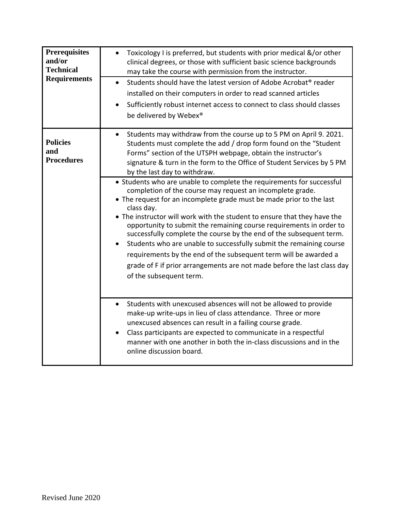| <b>Prerequisites</b><br>and/or<br><b>Technical</b><br><b>Requirements</b> | Toxicology I is preferred, but students with prior medical &/or other<br>clinical degrees, or those with sufficient basic science backgrounds<br>may take the course with permission from the instructor.<br>Students should have the latest version of Adobe Acrobat <sup>®</sup> reader<br>$\bullet$<br>installed on their computers in order to read scanned articles<br>Sufficiently robust internet access to connect to class should classes<br>$\bullet$<br>be delivered by Webex®                                                                                                                                                                                                                                                                                                                                                                                                                                                                                                                                                                                                                                                                                                                                                                                                                                                                                                                             |
|---------------------------------------------------------------------------|-----------------------------------------------------------------------------------------------------------------------------------------------------------------------------------------------------------------------------------------------------------------------------------------------------------------------------------------------------------------------------------------------------------------------------------------------------------------------------------------------------------------------------------------------------------------------------------------------------------------------------------------------------------------------------------------------------------------------------------------------------------------------------------------------------------------------------------------------------------------------------------------------------------------------------------------------------------------------------------------------------------------------------------------------------------------------------------------------------------------------------------------------------------------------------------------------------------------------------------------------------------------------------------------------------------------------------------------------------------------------------------------------------------------------|
| <b>Policies</b><br>and<br><b>Procedures</b>                               | Students may withdraw from the course up to 5 PM on April 9. 2021.<br>$\bullet$<br>Students must complete the add / drop form found on the "Student<br>Forms" section of the UTSPH webpage, obtain the instructor's<br>signature & turn in the form to the Office of Student Services by 5 PM<br>by the last day to withdraw.<br>• Students who are unable to complete the requirements for successful<br>completion of the course may request an incomplete grade.<br>• The request for an incomplete grade must be made prior to the last<br>class day.<br>• The instructor will work with the student to ensure that they have the<br>opportunity to submit the remaining course requirements in order to<br>successfully complete the course by the end of the subsequent term.<br>Students who are unable to successfully submit the remaining course<br>requirements by the end of the subsequent term will be awarded a<br>grade of F if prior arrangements are not made before the last class day<br>of the subsequent term.<br>Students with unexcused absences will not be allowed to provide<br>$\bullet$<br>make-up write-ups in lieu of class attendance. Three or more<br>unexcused absences can result in a failing course grade.<br>Class participants are expected to communicate in a respectful<br>manner with one another in both the in-class discussions and in the<br>online discussion board. |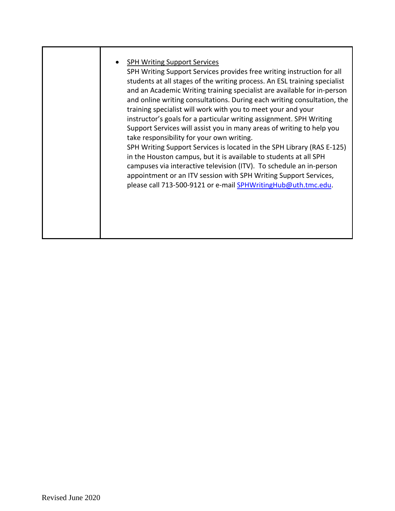|  | <b>SPH Writing Support Services</b><br>SPH Writing Support Services provides free writing instruction for all<br>students at all stages of the writing process. An ESL training specialist<br>and an Academic Writing training specialist are available for in-person<br>and online writing consultations. During each writing consultation, the<br>training specialist will work with you to meet your and your<br>instructor's goals for a particular writing assignment. SPH Writing<br>Support Services will assist you in many areas of writing to help you<br>take responsibility for your own writing.<br>SPH Writing Support Services is located in the SPH Library (RAS E-125)<br>in the Houston campus, but it is available to students at all SPH<br>campuses via interactive television (ITV). To schedule an in-person<br>appointment or an ITV session with SPH Writing Support Services,<br>please call 713-500-9121 or e-mail <b>SPHWritingHub@uth.tmc.edu.</b> |
|--|---------------------------------------------------------------------------------------------------------------------------------------------------------------------------------------------------------------------------------------------------------------------------------------------------------------------------------------------------------------------------------------------------------------------------------------------------------------------------------------------------------------------------------------------------------------------------------------------------------------------------------------------------------------------------------------------------------------------------------------------------------------------------------------------------------------------------------------------------------------------------------------------------------------------------------------------------------------------------------|
|--|---------------------------------------------------------------------------------------------------------------------------------------------------------------------------------------------------------------------------------------------------------------------------------------------------------------------------------------------------------------------------------------------------------------------------------------------------------------------------------------------------------------------------------------------------------------------------------------------------------------------------------------------------------------------------------------------------------------------------------------------------------------------------------------------------------------------------------------------------------------------------------------------------------------------------------------------------------------------------------|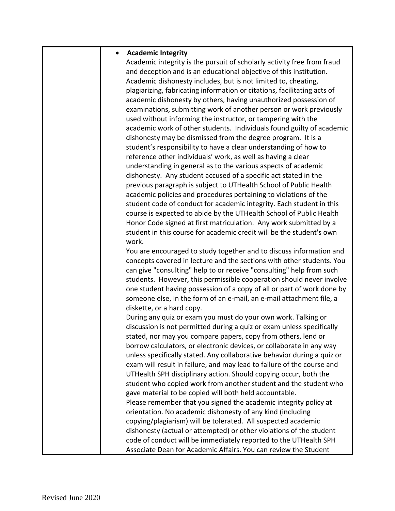| $\bullet$ | <b>Academic Integrity</b>                                                |
|-----------|--------------------------------------------------------------------------|
|           | Academic integrity is the pursuit of scholarly activity free from fraud  |
|           | and deception and is an educational objective of this institution.       |
|           | Academic dishonesty includes, but is not limited to, cheating,           |
|           | plagiarizing, fabricating information or citations, facilitating acts of |
|           | academic dishonesty by others, having unauthorized possession of         |
|           | examinations, submitting work of another person or work previously       |
|           | used without informing the instructor, or tampering with the             |
|           | academic work of other students. Individuals found guilty of academic    |
|           | dishonesty may be dismissed from the degree program. It is a             |
|           | student's responsibility to have a clear understanding of how to         |
|           | reference other individuals' work, as well as having a clear             |
|           | understanding in general as to the various aspects of academic           |
|           | dishonesty. Any student accused of a specific act stated in the          |
|           | previous paragraph is subject to UTHealth School of Public Health        |
|           | academic policies and procedures pertaining to violations of the         |
|           | student code of conduct for academic integrity. Each student in this     |
|           | course is expected to abide by the UTHealth School of Public Health      |
|           | Honor Code signed at first matriculation. Any work submitted by a        |
|           | student in this course for academic credit will be the student's own     |
|           | work.                                                                    |
|           | You are encouraged to study together and to discuss information and      |
|           | concepts covered in lecture and the sections with other students. You    |
|           | can give "consulting" help to or receive "consulting" help from such     |
|           | students. However, this permissible cooperation should never involve     |
|           | one student having possession of a copy of all or part of work done by   |
|           | someone else, in the form of an e-mail, an e-mail attachment file, a     |
|           | diskette, or a hard copy.                                                |
|           | During any quiz or exam you must do your own work. Talking or            |
|           | discussion is not permitted during a quiz or exam unless specifically    |
|           | stated, nor may you compare papers, copy from others, lend or            |
|           | borrow calculators, or electronic devices, or collaborate in any way     |
|           | unless specifically stated. Any collaborative behavior during a quiz or  |
|           | exam will result in failure, and may lead to failure of the course and   |
|           | UTHealth SPH disciplinary action. Should copying occur, both the         |
|           | student who copied work from another student and the student who         |
|           | gave material to be copied will both held accountable.                   |
|           | Please remember that you signed the academic integrity policy at         |
|           | orientation. No academic dishonesty of any kind (including               |
|           | copying/plagiarism) will be tolerated. All suspected academic            |
|           | dishonesty (actual or attempted) or other violations of the student      |
|           | code of conduct will be immediately reported to the UTHealth SPH         |
|           | Associate Dean for Academic Affairs. You can review the Student          |